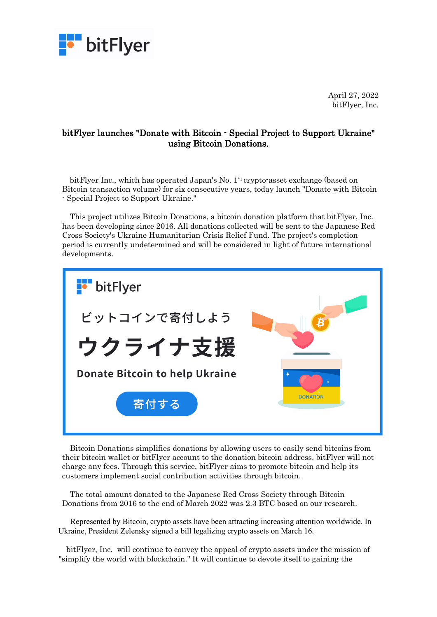

April 27, 2022 bitFlyer, Inc.

## bitFlyer launches "Donate with Bitcoin - Special Project to Support Ukraine" using Bitcoin Donations.

bitFlyer Inc., which has operated Japan's No. 1\*1 crypto-asset exchange (based on Bitcoin transaction volume) for six consecutive years, today launch "Donate with Bitcoin - Special Project to Support Ukraine."

This project utilizes Bitcoin Donations, a bitcoin donation platform that bitFlyer, Inc. has been developing since 2016. All donations collected will be sent to the Japanese Red Cross Society's Ukraine Humanitarian Crisis Relief Fund. The project's completion period is currently undetermined and will be considered in light of future international developments.



Bitcoin Donations simplifies donations by allowing users to easily send bitcoins from their bitcoin wallet or bitFlyer account to the donation bitcoin address. bitFlyer will not charge any fees. Through this service, bitFlyer aims to promote bitcoin and help its customers implement social contribution activities through bitcoin.

The total amount donated to the Japanese Red Cross Society through Bitcoin Donations from 2016 to the end of March 2022 was 2.3 BTC based on our research.

Represented by Bitcoin, crypto assets have been attracting increasing attention worldwide. In Ukraine, President Zelensky signed a bill legalizing crypto assets on March 16.

bitFlyer, Inc. will continue to convey the appeal of crypto assets under the mission of "simplify the world with blockchain." It will continue to devote itself to gaining the